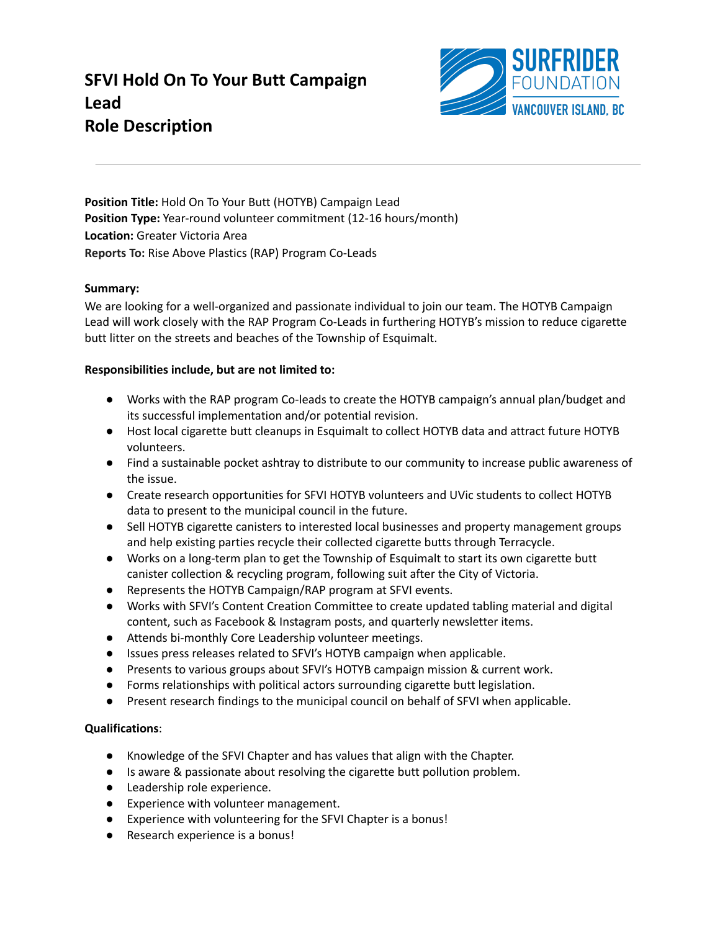

**Position Title:** Hold On To Your Butt (HOTYB) Campaign Lead **Position Type:** Year-round volunteer commitment (12-16 hours/month) **Location:** Greater Victoria Area **Reports To:** Rise Above Plastics (RAP) Program Co-Leads

## **Summary:**

We are looking for a well-organized and passionate individual to join our team. The HOTYB Campaign Lead will work closely with the RAP Program Co-Leads in furthering HOTYB's mission to reduce cigarette butt litter on the streets and beaches of the Township of Esquimalt.

## **Responsibilities include, but are not limited to:**

- Works with the RAP program Co-leads to create the HOTYB campaign's annual plan/budget and its successful implementation and/or potential revision.
- Host local cigarette butt cleanups in Esquimalt to collect HOTYB data and attract future HOTYB volunteers.
- Find a sustainable pocket ashtray to distribute to our community to increase public awareness of the issue.
- Create research opportunities for SFVI HOTYB volunteers and UVic students to collect HOTYB data to present to the municipal council in the future.
- Sell HOTYB cigarette canisters to interested local businesses and property management groups and help existing parties recycle their collected cigarette butts through Terracycle.
- Works on a long-term plan to get the Township of Esquimalt to start its own cigarette butt canister collection & recycling program, following suit after the City of Victoria.
- Represents the HOTYB Campaign/RAP program at SFVI events.
- Works with SFVI's Content Creation Committee to create updated tabling material and digital content, such as Facebook & Instagram posts, and quarterly newsletter items.
- Attends bi-monthly Core Leadership volunteer meetings.
- Issues press releases related to SFVI's HOTYB campaign when applicable.
- Presents to various groups about SFVI's HOTYB campaign mission & current work.
- Forms relationships with political actors surrounding cigarette butt legislation.
- Present research findings to the municipal council on behalf of SFVI when applicable.

## **Qualifications**:

- Knowledge of the SFVI Chapter and has values that align with the Chapter.
- Is aware & passionate about resolving the cigarette butt pollution problem.
- Leadership role experience.
- Experience with volunteer management.
- Experience with volunteering for the SFVI Chapter is a bonus!
- Research experience is a bonus!